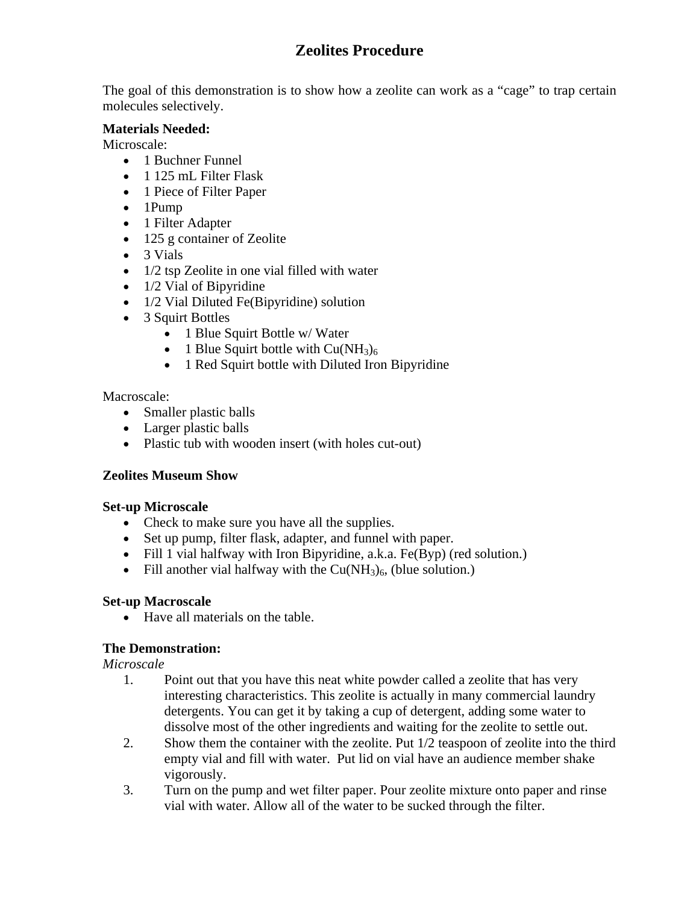# **Zeolites Procedure**

The goal of this demonstration is to show how a zeolite can work as a "cage" to trap certain molecules selectively.

#### **Materials Needed:**

Microscale:

- 1 Buchner Funnel
- 1 125 mL Filter Flask
- 1 Piece of Filter Paper
- 1Pump
- 1 Filter Adapter
- 125 g container of Zeolite
- 3 Vials
- 1/2 tsp Zeolite in one vial filled with water
- 1/2 Vial of Bipyridine
- 1/2 Vial Diluted Fe(Bipyridine) solution
- 3 Squirt Bottles
	- 1 Blue Squirt Bottle w/ Water
	- 1 Blue Squirt bottle with  $Cu(NH<sub>3</sub>)<sub>6</sub>$
	- 1 Red Squirt bottle with Diluted Iron Bipyridine

#### Macroscale:

- Smaller plastic balls
- Larger plastic balls
- Plastic tub with wooden insert (with holes cut-out)

#### **Zeolites Museum Show**

#### **Set-up Microscale**

- Check to make sure you have all the supplies.
- Set up pump, filter flask, adapter, and funnel with paper.
- Fill 1 vial halfway with Iron Bipyridine, a.k.a. Fe(Byp) (red solution.)
- Fill another vial halfway with the  $Cu(NH<sub>3</sub>)<sub>6</sub>$ , (blue solution.)

#### **Set-up Macroscale**

• Have all materials on the table.

#### **The Demonstration:**

*Microscale* 

- 1. Point out that you have this neat white powder called a zeolite that has very interesting characteristics. This zeolite is actually in many commercial laundry detergents. You can get it by taking a cup of detergent, adding some water to dissolve most of the other ingredients and waiting for the zeolite to settle out.
- 2. Show them the container with the zeolite. Put 1/2 teaspoon of zeolite into the third empty vial and fill with water. Put lid on vial have an audience member shake vigorously.
- 3. Turn on the pump and wet filter paper. Pour zeolite mixture onto paper and rinse vial with water. Allow all of the water to be sucked through the filter.